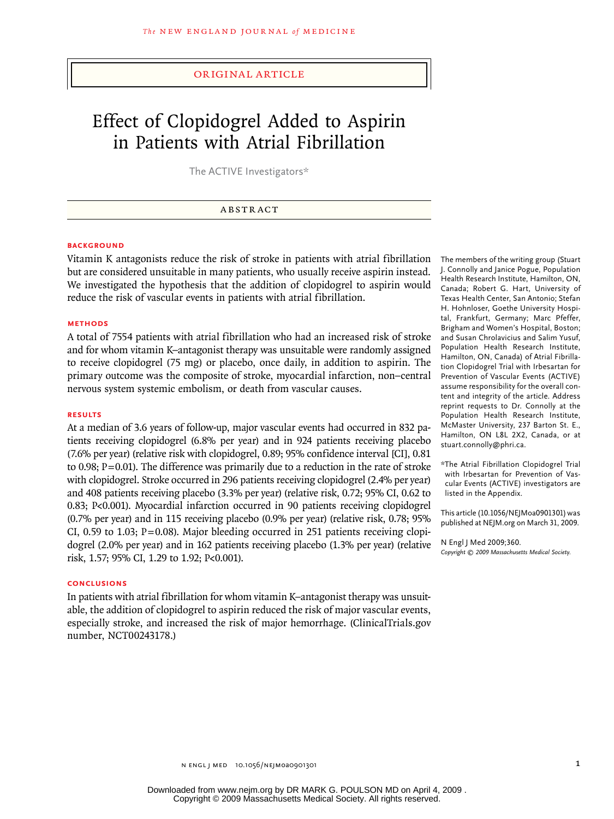## original article

# Effect of Clopidogrel Added to Aspirin in Patients with Atrial Fibrillation

The ACTIVE Investigators\*

## ABSTRACT

#### **BACKGROUND**

Vitamin K antagonists reduce the risk of stroke in patients with atrial fibrillation but are considered unsuitable in many patients, who usually receive aspirin instead. We investigated the hypothesis that the addition of clopidogrel to aspirin would reduce the risk of vascular events in patients with atrial fibrillation.

#### **Methods**

A total of 7554 patients with atrial fibrillation who had an increased risk of stroke and for whom vitamin K–antagonist therapy was unsuitable were randomly assigned to receive clopidogrel (75 mg) or placebo, once daily, in addition to aspirin. The primary outcome was the composite of stroke, myocardial infarction, non–central nervous system systemic embolism, or death from vascular causes.

#### **Results**

At a median of 3.6 years of follow-up, major vascular events had occurred in 832 patients receiving clopidogrel (6.8% per year) and in 924 patients receiving placebo (7.6% per year) (relative risk with clopidogrel, 0.89; 95% confidence interval [CI], 0.81 to  $0.98$ ;  $P = 0.01$ ). The difference was primarily due to a reduction in the rate of stroke with clopidogrel. Stroke occurred in 296 patients receiving clopidogrel (2.4% per year) and 408 patients receiving placebo (3.3% per year) (relative risk, 0.72; 95% CI, 0.62 to 0.83; P<0.001). Myocardial infarction occurred in 90 patients receiving clopidogrel (0.7% per year) and in 115 receiving placebo (0.9% per year) (relative risk, 0.78; 95% CI, 0.59 to 1.03;  $P=0.08$ ). Major bleeding occurred in 251 patients receiving clopidogrel (2.0% per year) and in 162 patients receiving placebo (1.3% per year) (relative risk, 1.57; 95% CI, 1.29 to 1.92; P<0.001).

#### **Conclusions**

In patients with atrial fibrillation for whom vitamin K–antagonist therapy was unsuitable, the addition of clopidogrel to aspirin reduced the risk of major vascular events, especially stroke, and increased the risk of major hemorrhage. (ClinicalTrials.gov number, NCT00243178.)

The members of the writing group (Stuart J. Connolly and Janice Pogue, Population Health Research Institute, Hamilton, ON, Canada; Robert G. Hart, University of Texas Health Center, San Antonio; Stefan H. Hohnloser, Goethe University Hospital, Frankfurt, Germany; Marc Pfeffer, Brigham and Women's Hospital, Boston; and Susan Chrolavicius and Salim Yusuf, Population Health Research Institute, Hamilton, ON, Canada) of Atrial Fibrillation Clopidogrel Trial with Irbesartan for Prevention of Vascular Events (ACTIVE) assume responsibility for the overall content and integrity of the article. Address reprint requests to Dr. Connolly at the Population Health Research Institute, McMaster University, 237 Barton St. E., Hamilton, ON L8L 2X2, Canada, or at stuart.connolly@phri.ca.

\*The Atrial Fibrillation Clopidogrel Trial with Irbesartan for Prevention of Vascular Events (ACTIVE) investigators are listed in the Appendix.

This article (10.1056/NEJMoa0901301) was published at NEJM.org on March 31, 2009.

N Engl J Med 2009;360. *Copyright © 2009 Massachusetts Medical Society.*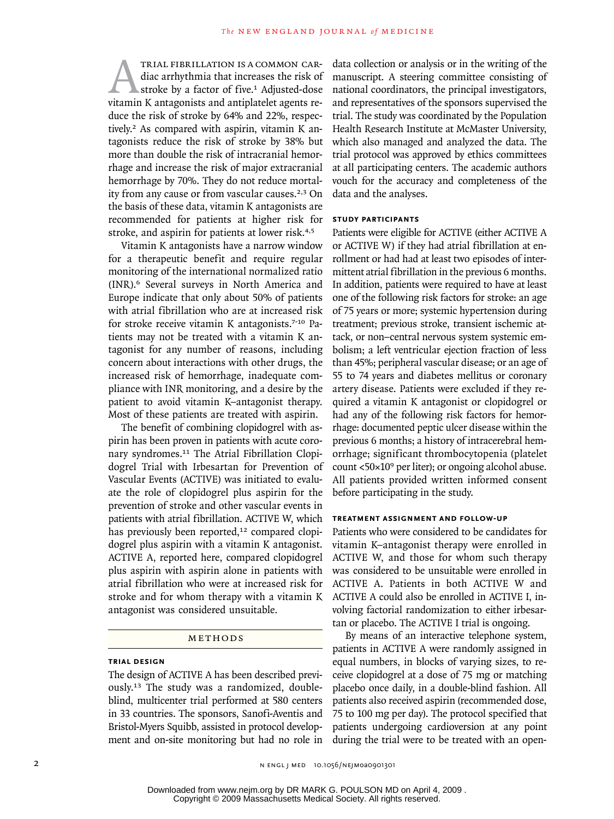TRIAL FIBRILLATION IS A COMMON CAR-<br>diac arrhythmia that increases the risk of<br>stroke by a factor of five.<sup>1</sup> Adjusted-dose<br>vitamin K antagonists and antiplatelet agents rediac arrhythmia that increases the risk of stroke by a factor of five.<sup>1</sup> Adjusted-dose vitamin K antagonists and antiplatelet agents reduce the risk of stroke by 64% and 22%, respectively.2 As compared with aspirin, vitamin K antagonists reduce the risk of stroke by 38% but more than double the risk of intracranial hemorrhage and increase the risk of major extracranial hemorrhage by 70%. They do not reduce mortality from any cause or from vascular causes.2,3 On the basis of these data, vitamin K antagonists are recommended for patients at higher risk for stroke, and aspirin for patients at lower risk.<sup>4,5</sup>

Vitamin K antagonists have a narrow window for a therapeutic benefit and require regular monitoring of the international normalized ratio (INR).6 Several surveys in North America and Europe indicate that only about 50% of patients with atrial fibrillation who are at increased risk for stroke receive vitamin K antagonists.7-10 Patients may not be treated with a vitamin K antagonist for any number of reasons, including concern about interactions with other drugs, the increased risk of hemorrhage, inadequate compliance with INR monitoring, and a desire by the patient to avoid vitamin K–antagonist therapy. Most of these patients are treated with aspirin.

The benefit of combining clopidogrel with aspirin has been proven in patients with acute coronary syndromes.11 The Atrial Fibrillation Clopidogrel Trial with Irbesartan for Prevention of Vascular Events (ACTIVE) was initiated to evaluate the role of clopidogrel plus aspirin for the prevention of stroke and other vascular events in patients with atrial fibrillation. ACTIVE W, which has previously been reported,<sup>12</sup> compared clopidogrel plus aspirin with a vitamin K antagonist. ACTIVE A, reported here, compared clopidogrel plus aspirin with aspirin alone in patients with atrial fibrillation who were at increased risk for stroke and for whom therapy with a vitamin K antagonist was considered unsuitable.

#### Methods

## **Trial Design**

The design of ACTIVE A has been described previously.13 The study was a randomized, doubleblind, multicenter trial performed at 580 centers in 33 countries. The sponsors, Sanofi-Aventis and Bristol-Myers Squibb, assisted in protocol development and on-site monitoring but had no role in data collection or analysis or in the writing of the manuscript. A steering committee consisting of national coordinators, the principal investigators, and representatives of the sponsors supervised the trial. The study was coordinated by the Population Health Research Institute at McMaster University, which also managed and analyzed the data. The trial protocol was approved by ethics committees at all participating centers. The academic authors vouch for the accuracy and completeness of the data and the analyses.

## **Study Participants**

Patients were eligible for ACTIVE (either ACTIVE A or ACTIVE W) if they had atrial fibrillation at enrollment or had had at least two episodes of intermittent atrial fibrillation in the previous 6 months. In addition, patients were required to have at least one of the following risk factors for stroke: an age of 75 years or more; systemic hypertension during treatment; previous stroke, transient ischemic attack, or non–central nervous system systemic embolism; a left ventricular ejection fraction of less than 45%; peripheral vascular disease; or an age of 55 to 74 years and diabetes mellitus or coronary artery disease. Patients were excluded if they required a vitamin K antagonist or clopidogrel or had any of the following risk factors for hemorrhage: documented peptic ulcer disease within the previous 6 months; a history of intracerebral hemorrhage; significant thrombocytopenia (platelet count  $\langle 50 \times 10^9$  per liter); or ongoing alcohol abuse. All patients provided written informed consent before participating in the study.

## **Treatment Assignment and Follow-up**

Patients who were considered to be candidates for vitamin K–antagonist therapy were enrolled in ACTIVE W, and those for whom such therapy was considered to be unsuitable were enrolled in ACTIVE A. Patients in both ACTIVE W and ACTIVE A could also be enrolled in ACTIVE I, involving factorial randomization to either irbesartan or placebo. The ACTIVE I trial is ongoing.

By means of an interactive telephone system, patients in ACTIVE A were randomly assigned in equal numbers, in blocks of varying sizes, to receive clopidogrel at a dose of 75 mg or matching placebo once daily, in a double-blind fashion. All patients also received aspirin (recommended dose, 75 to 100 mg per day). The protocol specified that patients undergoing cardioversion at any point during the trial were to be treated with an open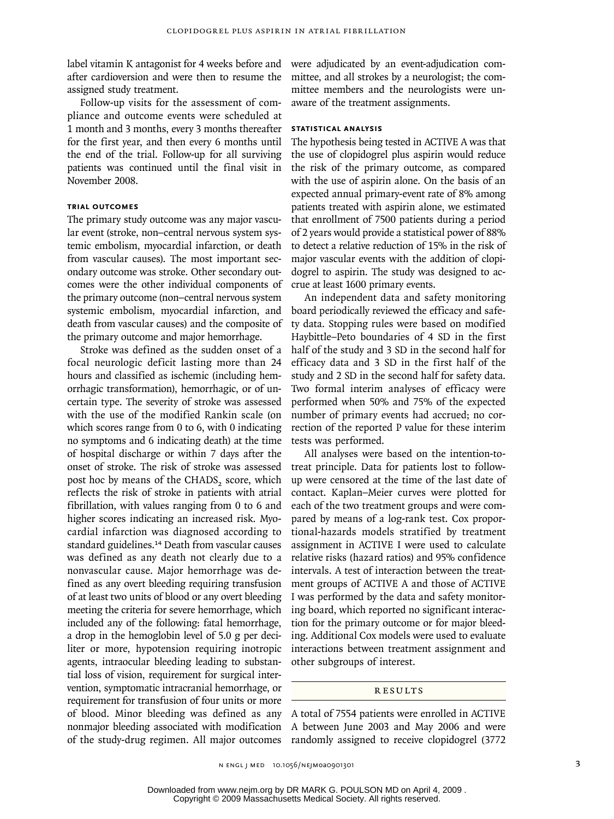label vitamin K antagonist for 4 weeks before and after cardioversion and were then to resume the assigned study treatment.

Follow-up visits for the assessment of compliance and outcome events were scheduled at 1 month and 3 months, every 3 months thereafter for the first year, and then every 6 months until the end of the trial. Follow-up for all surviving patients was continued until the final visit in November 2008.

## **Trial Outcomes**

The primary study outcome was any major vascular event (stroke, non–central nervous system systemic embolism, myocardial infarction, or death from vascular causes). The most important secondary outcome was stroke. Other secondary outcomes were the other individual components of the primary outcome (non–central nervous system systemic embolism, myocardial infarction, and death from vascular causes) and the composite of the primary outcome and major hemorrhage.

Stroke was defined as the sudden onset of a focal neurologic deficit lasting more than 24 hours and classified as ischemic (including hemorrhagic transformation), hemorrhagic, or of uncertain type. The severity of stroke was assessed with the use of the modified Rankin scale (on which scores range from 0 to 6, with 0 indicating no symptoms and 6 indicating death) at the time of hospital discharge or within 7 days after the onset of stroke. The risk of stroke was assessed post hoc by means of the CHADS<sub>2</sub> score, which reflects the risk of stroke in patients with atrial fibrillation, with values ranging from 0 to 6 and higher scores indicating an increased risk. Myocardial infarction was diagnosed according to standard guidelines.<sup>14</sup> Death from vascular causes was defined as any death not clearly due to a nonvascular cause. Major hemorrhage was defined as any overt bleeding requiring transfusion of at least two units of blood or any overt bleeding meeting the criteria for severe hemorrhage, which included any of the following: fatal hemorrhage, a drop in the hemoglobin level of 5.0 g per deciliter or more, hypotension requiring inotropic agents, intraocular bleeding leading to substantial loss of vision, requirement for surgical intervention, symptomatic intracranial hemorrhage, or requirement for transfusion of four units or more of blood. Minor bleeding was defined as any nonmajor bleeding associated with modification of the study-drug regimen. All major outcomes were adjudicated by an event-adjudication committee, and all strokes by a neurologist; the committee members and the neurologists were unaware of the treatment assignments.

## **Statistical Analysis**

The hypothesis being tested in ACTIVE A was that the use of clopidogrel plus aspirin would reduce the risk of the primary outcome, as compared with the use of aspirin alone. On the basis of an expected annual primary-event rate of 8% among patients treated with aspirin alone, we estimated that enrollment of 7500 patients during a period of 2 years would provide a statistical power of 88% to detect a relative reduction of 15% in the risk of major vascular events with the addition of clopidogrel to aspirin. The study was designed to accrue at least 1600 primary events.

An independent data and safety monitoring board periodically reviewed the efficacy and safety data. Stopping rules were based on modified Haybittle–Peto boundaries of 4 SD in the first half of the study and 3 SD in the second half for efficacy data and 3 SD in the first half of the study and 2 SD in the second half for safety data. Two formal interim analyses of efficacy were performed when 50% and 75% of the expected number of primary events had accrued; no correction of the reported P value for these interim tests was performed.

All analyses were based on the intention-totreat principle. Data for patients lost to followup were censored at the time of the last date of contact. Kaplan–Meier curves were plotted for each of the two treatment groups and were compared by means of a log-rank test. Cox proportional-hazards models stratified by treatment assignment in ACTIVE I were used to calculate relative risks (hazard ratios) and 95% confidence intervals. A test of interaction between the treatment groups of ACTIVE A and those of ACTIVE I was performed by the data and safety monitoring board, which reported no significant interaction for the primary outcome or for major bleeding. Additional Cox models were used to evaluate interactions between treatment assignment and other subgroups of interest.

#### **RESULTS**

A total of 7554 patients were enrolled in ACTIVE A between June 2003 and May 2006 and were randomly assigned to receive clopidogrel (3772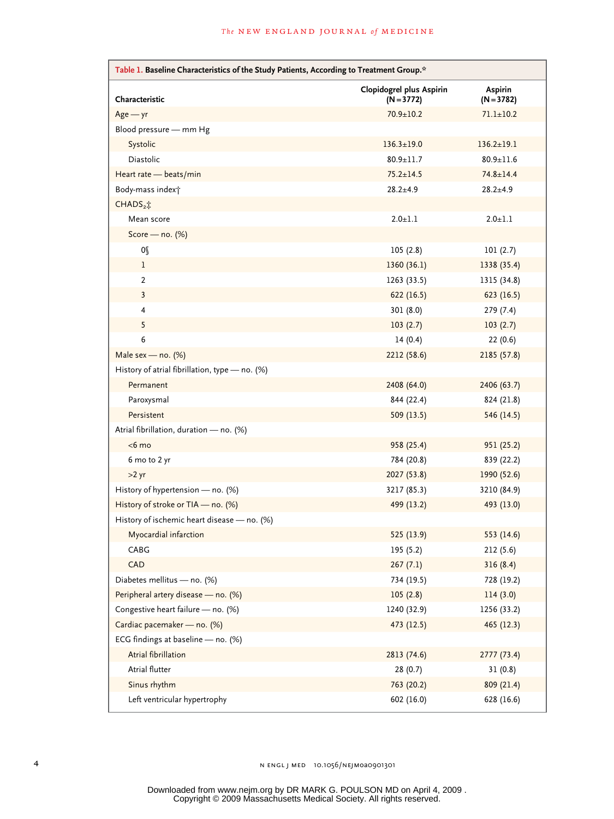| Table 1. Baseline Characteristics of the Study Patients, According to Treatment Group.* |                                          |                         |  |  |
|-----------------------------------------------------------------------------------------|------------------------------------------|-------------------------|--|--|
| Characteristic                                                                          | Clopidogrel plus Aspirin<br>$(N = 3772)$ | Aspirin<br>$(N = 3782)$ |  |  |
| $Age - yr$                                                                              | $70.9 \pm 10.2$                          | $71.1 \pm 10.2$         |  |  |
| Blood pressure - mm Hg                                                                  |                                          |                         |  |  |
| Systolic                                                                                | $136.3 \pm 19.0$                         | $136.2 \pm 19.1$        |  |  |
| <b>Diastolic</b>                                                                        | $80.9 \pm 11.7$                          | $80.9 \pm 11.6$         |  |  |
| Heart rate - beats/min                                                                  | $75.2 \pm 14.5$                          | $74.8 \pm 14.4$         |  |  |
| Body-mass index <sup>+</sup>                                                            | $28.2 \pm 4.9$                           | $28.2 + 4.9$            |  |  |
| CHADS <sub>2</sub> <sup>+</sup>                                                         |                                          |                         |  |  |
| Mean score                                                                              | $2.0 + 1.1$                              | $2.0 \pm 1.1$           |  |  |
| Score - $no.$ (%)                                                                       |                                          |                         |  |  |
| O                                                                                       | 105(2.8)                                 | 101(2.7)                |  |  |
| $\mathbf{1}$                                                                            | 1360(36.1)                               | 1338 (35.4)             |  |  |
| 2                                                                                       | 1263(33.5)                               | 1315 (34.8)             |  |  |
| 3                                                                                       | 622 (16.5)                               | 623 (16.5)              |  |  |
| 4                                                                                       | 301(8.0)                                 | 279 (7.4)               |  |  |
| 5                                                                                       | 103(2.7)                                 | 103(2.7)                |  |  |
| 6                                                                                       | 14(0.4)                                  | 22(0.6)                 |  |  |
| Male sex - no. (%)                                                                      | 2212(58.6)                               | 2185 (57.8)             |  |  |
| History of atrial fibrillation, type - no. (%)                                          |                                          |                         |  |  |
| Permanent                                                                               | 2408 (64.0)                              | 2406 (63.7)             |  |  |
| Paroxysmal                                                                              | 844 (22.4)                               | 824 (21.8)              |  |  |
| Persistent                                                                              | 509 (13.5)                               | 546 (14.5)              |  |  |
| Atrial fibrillation, duration - no. (%)                                                 |                                          |                         |  |  |
| $< 6 \text{ mo}$                                                                        | 958 (25.4)                               | 951(25.2)               |  |  |
| 6 mo to 2 yr                                                                            | 784 (20.8)                               | 839 (22.2)              |  |  |
| $>2$ yr                                                                                 | 2027 (53.8)                              | 1990 (52.6)             |  |  |
| History of hypertension - no. (%)                                                       | 3217 (85.3)                              | 3210 (84.9)             |  |  |
| History of stroke or TIA - no. (%)                                                      | 499 (13.2)                               | 493 (13.0)              |  |  |
| History of ischemic heart disease - no. (%)                                             |                                          |                         |  |  |
| Myocardial infarction                                                                   | 525 (13.9)                               | 553 (14.6)              |  |  |
| CABG                                                                                    | 195 (5.2)                                | 212(5.6)                |  |  |
| <b>CAD</b>                                                                              | 267(7.1)                                 | 316(8.4)                |  |  |
| Diabetes mellitus - no. (%)                                                             | 734 (19.5)                               | 728 (19.2)              |  |  |
| Peripheral artery disease - no. (%)                                                     | 105(2.8)                                 | 114(3.0)                |  |  |
| Congestive heart failure - no. (%)                                                      | 1240 (32.9)                              | 1256 (33.2)             |  |  |
| Cardiac pacemaker - no. (%)                                                             | 473 (12.5)                               | 465 (12.3)              |  |  |
| ECG findings at baseline - no. (%)                                                      |                                          |                         |  |  |
| Atrial fibrillation                                                                     | 2813 (74.6)                              | 2777 (73.4)             |  |  |
| Atrial flutter                                                                          | 28(0.7)                                  | 31(0.8)                 |  |  |
| Sinus rhythm                                                                            | 763 (20.2)                               | 809(21.4)               |  |  |
| Left ventricular hypertrophy                                                            | 602 (16.0)                               | 628 (16.6)              |  |  |

4 **A** N ENGL J MED 10.1056/NEJMOA0901301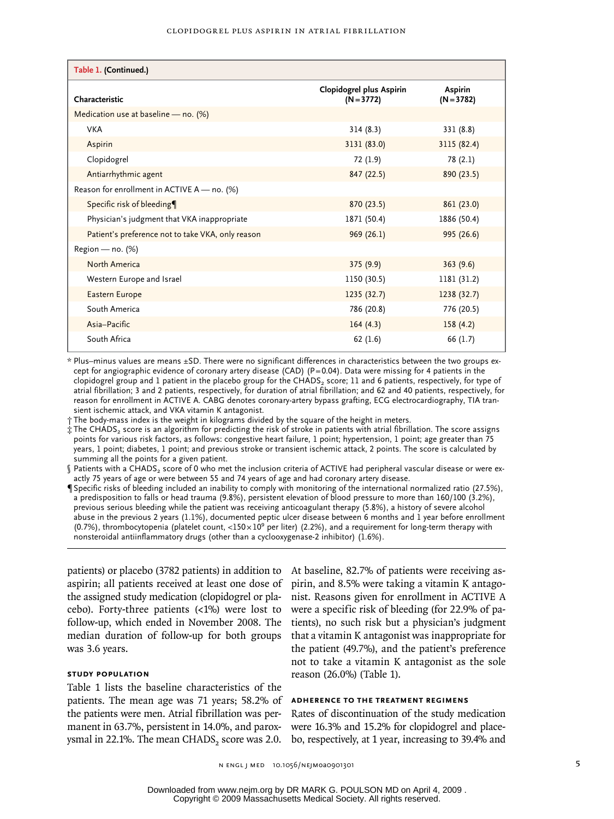| Table 1. (Continued.)                             |                                          |                         |  |  |
|---------------------------------------------------|------------------------------------------|-------------------------|--|--|
| Characteristic                                    | Clopidogrel plus Aspirin<br>$(N = 3772)$ | Aspirin<br>$(N = 3782)$ |  |  |
| Medication use at baseline $-$ no. (%)            |                                          |                         |  |  |
| <b>VKA</b>                                        | 314(8.3)                                 | 331 (8.8)               |  |  |
| Aspirin                                           | 3131 (83.0)                              | 3115 (82.4)             |  |  |
| Clopidogrel                                       | 72 (1.9)                                 | 78 (2.1)                |  |  |
| Antiarrhythmic agent                              | 847 (22.5)                               | 890 (23.5)              |  |  |
| Reason for enrollment in ACTIVE A - no. (%)       |                                          |                         |  |  |
| Specific risk of bleeding                         | 870 (23.5)                               | 861 (23.0)              |  |  |
| Physician's judgment that VKA inappropriate       | 1871 (50.4)                              | 1886 (50.4)             |  |  |
| Patient's preference not to take VKA, only reason | 969 (26.1)                               | 995 (26.6)              |  |  |
| Region — no. $(\%)$                               |                                          |                         |  |  |
| <b>North America</b>                              | 375 (9.9)                                | 363(9.6)                |  |  |
| Western Europe and Israel                         | 1150 (30.5)                              | 1181 (31.2)             |  |  |
| Eastern Europe                                    | 1235(32.7)                               | 1238 (32.7)             |  |  |
| South America                                     | 786 (20.8)                               | 776 (20.5)              |  |  |
| Asia-Pacific                                      | 164(4.3)                                 | 158(4.2)                |  |  |
| South Africa                                      | 62(1.6)                                  | 66 (1.7)                |  |  |

\* Plus–minus values are means ±SD. There were no significant differences in characteristics between the two groups except for angiographic evidence of coronary artery disease (CAD) (P=0.04). Data were missing for 4 patients in the clopidogrel group and 1 patient in the placebo group for the CHADS<sub>2</sub> score; 11 and 6 patients, respectively, for type of atrial fibrillation; 3 and 2 patients, respectively, for duration of atrial fibrillation; and 62 and 40 patients, respectively, for reason for enrollment in ACTIVE A. CABG denotes coronary-artery bypass grafting, ECG electrocardiography, TIA transient ischemic attack, and VKA vitamin K antagonist.

† The body-mass index is the weight in kilograms divided by the square of the height in meters.

‡ The CHADS2 score is an algorithm for predicting the risk of stroke in patients with atrial fibrillation. The score assigns points for various risk factors, as follows: congestive heart failure, 1 point; hypertension, 1 point; age greater than 75 years, 1 point; diabetes, 1 point; and previous stroke or transient ischemic attack, 2 points. The score is calculated by summing all the points for a given patient.

 $§$  Patients with a CHADS<sub>2</sub> score of 0 who met the inclusion criteria of ACTIVE had peripheral vascular disease or were exactly 75 years of age or were between 55 and 74 years of age and had coronary artery disease.

¶Specific risks of bleeding included an inability to comply with monitoring of the international normalized ratio (27.5%), a predisposition to falls or head trauma (9.8%), persistent elevation of blood pressure to more than 160/100 (3.2%), previous serious bleeding while the patient was receiving anticoagulant therapy (5.8%), a history of severe alcohol abuse in the previous 2 years (1.1%), documented peptic ulcer disease between 6 months and 1 year before enrollment (0.7%), thrombocytopenia (platelet count, <150×10<sup>9</sup> per liter) (2.2%), and a requirement for long-term therapy with nonsteroidal antiinflammatory drugs (other than a cyclooxygenase-2 inhibitor) (1.6%).

aspirin; all patients received at least one dose of pirin, and 8.5% were taking a vitamin K antagothe assigned study medication (clopidogrel or pla-nist. Reasons given for enrollment in ACTIVE A cebo). Forty-three patients (<1%) were lost to were a specific risk of bleeding (for 22.9% of pafollow-up, which ended in November 2008. The tients), no such risk but a physician's judgment median duration of follow-up for both groups was 3.6 years.

## **Study Population**

Table 1 lists the baseline characteristics of the patients. The mean age was 71 years; 58.2% of the patients were men. Atrial fibrillation was permanent in 63.7%, persistent in 14.0%, and paroxysmal in 22.1%. The mean CHADS, score was 2.0.

patients) or placebo (3782 patients) in addition to At baseline, 82.7% of patients were receiving asthat a vitamin K antagonist was inappropriate for the patient (49.7%), and the patient's preference not to take a vitamin K antagonist as the sole reason (26.0%) (Table 1).

# **Adherence to the Treatment Regimens**

Rates of discontinuation of the study medication were 16.3% and 15.2% for clopidogrel and placebo, respectively, at 1 year, increasing to 39.4% and

n engl j med 10.1056/nejmoa0901301 5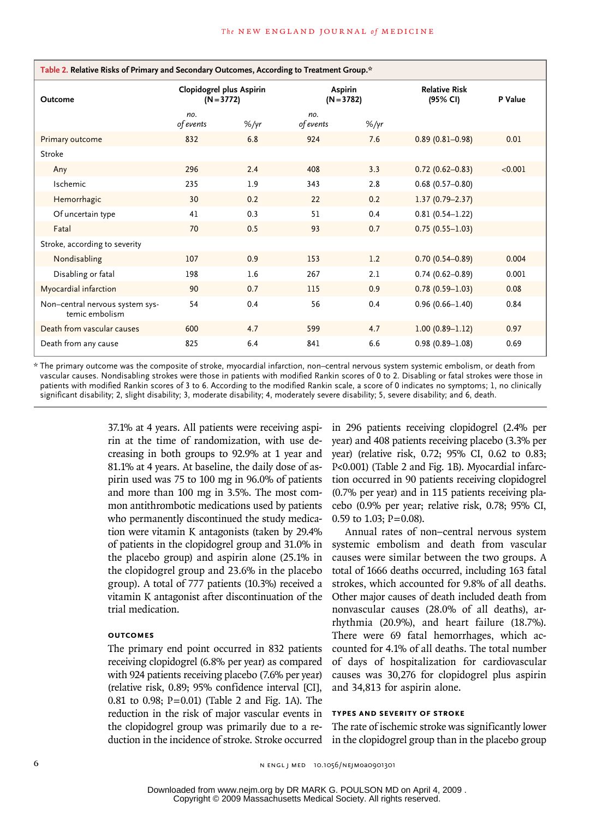| Table 2. Relative Risks of Primary and Secondary Outcomes, According to Treatment Group.* |                                          |               |                         |               |                                  |         |
|-------------------------------------------------------------------------------------------|------------------------------------------|---------------|-------------------------|---------------|----------------------------------|---------|
| Outcome                                                                                   | Clopidogrel plus Aspirin<br>$(N = 3772)$ |               | Aspirin<br>$(N = 3782)$ |               | <b>Relative Risk</b><br>(95% CI) | P Value |
|                                                                                           | no.<br>of events                         | $\frac{9}{7}$ | no.<br>of events        | $\frac{9}{7}$ |                                  |         |
| Primary outcome                                                                           | 832                                      | 6.8           | 924                     | 7.6           | $0.89(0.81 - 0.98)$              | 0.01    |
| Stroke                                                                                    |                                          |               |                         |               |                                  |         |
| Any                                                                                       | 296                                      | 2.4           | 408                     | 3.3           | $0.72(0.62 - 0.83)$              | < 0.001 |
| Ischemic                                                                                  | 235                                      | 1.9           | 343                     | 2.8           | $0.68$ (0.57-0.80)               |         |
| Hemorrhagic                                                                               | 30                                       | 0.2           | 22                      | 0.2           | $1.37(0.79 - 2.37)$              |         |
| Of uncertain type                                                                         | 41                                       | 0.3           | 51                      | 0.4           | $0.81(0.54 - 1.22)$              |         |
| Fatal                                                                                     | 70                                       | 0.5           | 93                      | 0.7           | $0.75(0.55 - 1.03)$              |         |
| Stroke, according to severity                                                             |                                          |               |                         |               |                                  |         |
| Nondisabling                                                                              | 107                                      | 0.9           | 153                     | 1.2           | $0.70(0.54 - 0.89)$              | 0.004   |
| Disabling or fatal                                                                        | 198                                      | 1.6           | 267                     | 2.1           | $0.74(0.62 - 0.89)$              | 0.001   |
| Myocardial infarction                                                                     | 90                                       | 0.7           | 115                     | 0.9           | $0.78(0.59 - 1.03)$              | 0.08    |
| Non-central nervous system sys-<br>temic embolism                                         | 54                                       | 0.4           | 56                      | 0.4           | $0.96(0.66 - 1.40)$              | 0.84    |
| Death from vascular causes                                                                | 600                                      | 4.7           | 599                     | 4.7           | $1.00(0.89 - 1.12)$              | 0.97    |
| Death from any cause                                                                      | 825                                      | 6.4           | 841                     | 6.6           | $0.98(0.89 - 1.08)$              | 0.69    |

\* The primary outcome was the composite of stroke, myocardial infarction, non–central nervous system systemic embolism, or death from vascular causes. Nondisabling strokes were those in patients with modified Rankin scores of 0 to 2. Disabling or fatal strokes were those in patients with modified Rankin scores of 3 to 6. According to the modified Rankin scale, a score of 0 indicates no symptoms; 1, no clinically significant disability; 2, slight disability; 3, moderate disability; 4, moderately severe disability; 5, severe disability; and 6, death.

> 37.1% at 4 years. All patients were receiving aspirin at the time of randomization, with use decreasing in both groups to 92.9% at 1 year and 81.1% at 4 years. At baseline, the daily dose of aspirin used was 75 to 100 mg in 96.0% of patients and more than 100 mg in 3.5%. The most common antithrombotic medications used by patients who permanently discontinued the study medication were vitamin K antagonists (taken by 29.4% of patients in the clopidogrel group and 31.0% in the placebo group) and aspirin alone (25.1% in the clopidogrel group and 23.6% in the placebo group). A total of 777 patients (10.3%) received a vitamin K antagonist after discontinuation of the trial medication.

## **Outcomes**

The primary end point occurred in 832 patients receiving clopidogrel (6.8% per year) as compared with 924 patients receiving placebo (7.6% per year) (relative risk, 0.89; 95% confidence interval [CI], 0.81 to 0.98; P=0.01) (Table 2 and Fig. 1A). The reduction in the risk of major vascular events in the clopidogrel group was primarily due to a reduction in the incidence of stroke. Stroke occurred in 296 patients receiving clopidogrel (2.4% per year) and 408 patients receiving placebo (3.3% per year) (relative risk, 0.72; 95% CI, 0.62 to 0.83; P<0.001) (Table 2 and Fig. 1B). Myocardial infarction occurred in 90 patients receiving clopidogrel (0.7% per year) and in 115 patients receiving placebo (0.9% per year; relative risk, 0.78; 95% CI, 0.59 to 1.03;  $P = 0.08$ ).

Annual rates of non–central nervous system systemic embolism and death from vascular causes were similar between the two groups. A total of 1666 deaths occurred, including 163 fatal strokes, which accounted for 9.8% of all deaths. Other major causes of death included death from nonvascular causes (28.0% of all deaths), arrhythmia (20.9%), and heart failure (18.7%). There were 69 fatal hemorrhages, which accounted for 4.1% of all deaths. The total number of days of hospitalization for cardiovascular causes was 30,276 for clopidogrel plus aspirin and 34,813 for aspirin alone.

# **Types and Severity of Stroke**

The rate of ischemic stroke was significantly lower in the clopidogrel group than in the placebo group

6 **6 n** engl j med 10.1056/nejmoa0901301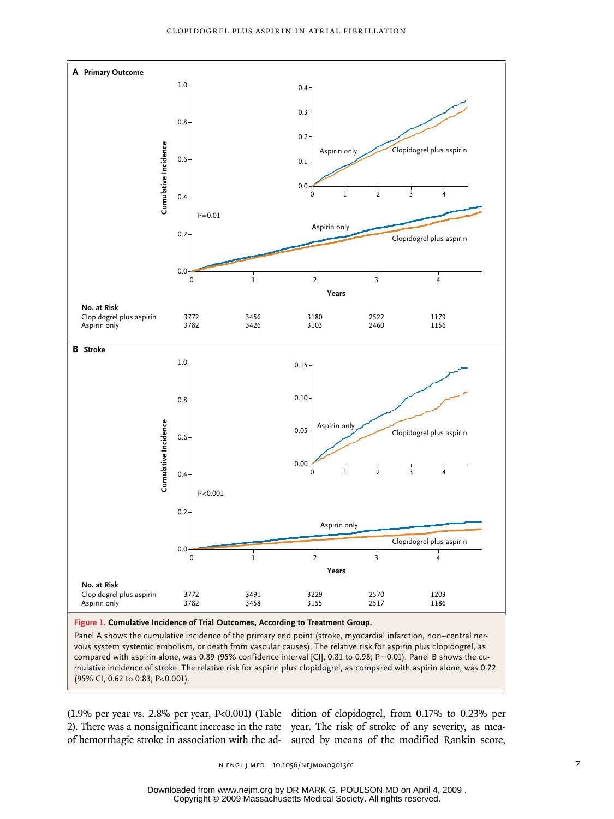

**Figure 1. Cumulative Incidence of Trial Outcomes, According to Treatment Group.**

compared with aspirin alone, was 0.89 (95% confidence interval [CI], 0.81 to 0.98; P=0.01). Panel B shows the cuelative risk for aspirin plus clopidogrel, as compare mulative incidence of stroke. The relative risk for aspirin plus clopidogrel, as compared with aspirin alone, was 0.72<br>(95% SL 8.63 L 8.83 B 8.991) Panel A shows the cumulative incidence of the primary end point (stroke, myocardial infarction, non–central nervous system systemic embolism, or death from vascular causes). The relative risk for aspirin plus clopidogrel, as (95% CI, 0.62 to 0.83; P<0.001).

eman di sebagai pertama kepada pada tahun 1992.<br>Perangan pada tahun bahawa pada tahun 1993 dan menjadi bahawa dan pada tahun 1993 dan menjadi bahawa dalam pad

(1.9% per year vs. 2.8% per year, P<0.001) (Table dition of clopidogrel, from 0.17% to 0.23% per 2). There was a nonsignificant increase in the rate year. The risk of stroke of any severity, as meaof hemorrhagic stroke in association with the ad- sured by means of the modified Rankin score,

n engl j med 10.1056/nejmoa0901301 7 36020 ISSUE:

 $\overline{\phantom{0}}$ 

**SIZE**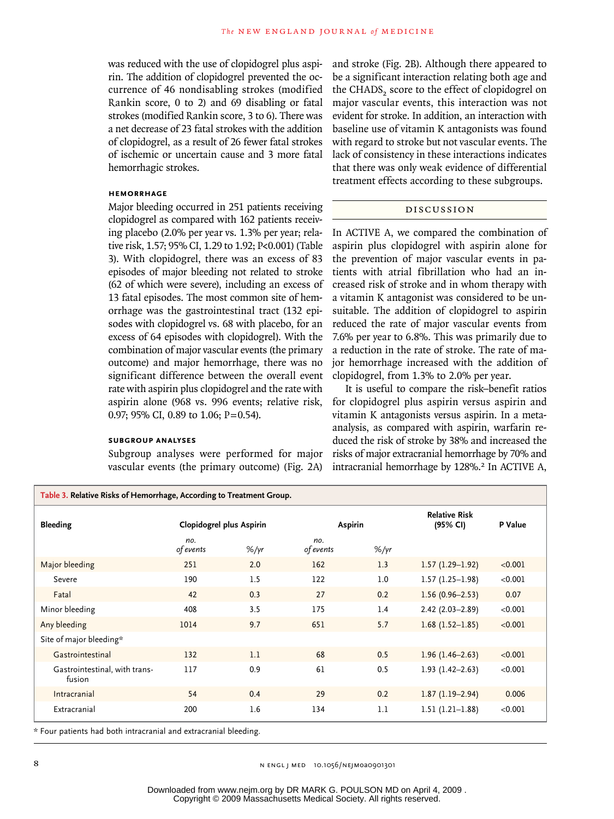was reduced with the use of clopidogrel plus aspirin. The addition of clopidogrel prevented the occurrence of 46 nondisabling strokes (modified Rankin score, 0 to 2) and 69 disabling or fatal strokes (modified Rankin score, 3 to 6). There was a net decrease of 23 fatal strokes with the addition of clopidogrel, as a result of 26 fewer fatal strokes of ischemic or uncertain cause and 3 more fatal hemorrhagic strokes.

# **Hemorrhage**

Major bleeding occurred in 251 patients receiving clopidogrel as compared with 162 patients receiving placebo (2.0% per year vs. 1.3% per year; relative risk, 1.57; 95% CI, 1.29 to 1.92; P<0.001) (Table 3). With clopidogrel, there was an excess of 83 episodes of major bleeding not related to stroke (62 of which were severe), including an excess of 13 fatal episodes. The most common site of hemorrhage was the gastrointestinal tract (132 episodes with clopidogrel vs. 68 with placebo, for an excess of 64 episodes with clopidogrel). With the combination of major vascular events (the primary outcome) and major hemorrhage, there was no significant difference between the overall event rate with aspirin plus clopidogrel and the rate with aspirin alone (968 vs. 996 events; relative risk, 0.97; 95% CI, 0.89 to 1.06; P=0.54).

# **Subgroup Analyses**

Subgroup analyses were performed for major vascular events (the primary outcome) (Fig. 2A)

and stroke (Fig. 2B). Although there appeared to be a significant interaction relating both age and the CHADS, score to the effect of clopidogrel on major vascular events, this interaction was not evident for stroke. In addition, an interaction with baseline use of vitamin K antagonists was found with regard to stroke but not vascular events. The lack of consistency in these interactions indicates that there was only weak evidence of differential treatment effects according to these subgroups.

# Discussion

In ACTIVE A, we compared the combination of aspirin plus clopidogrel with aspirin alone for the prevention of major vascular events in patients with atrial fibrillation who had an increased risk of stroke and in whom therapy with a vitamin K antagonist was considered to be unsuitable. The addition of clopidogrel to aspirin reduced the rate of major vascular events from 7.6% per year to 6.8%. This was primarily due to a reduction in the rate of stroke. The rate of major hemorrhage increased with the addition of clopidogrel, from 1.3% to 2.0% per year.

It is useful to compare the risk–benefit ratios for clopidogrel plus aspirin versus aspirin and vitamin K antagonists versus aspirin. In a metaanalysis, as compared with aspirin, warfarin reduced the risk of stroke by 38% and increased the risks of major extracranial hemorrhage by 70% and intracranial hemorrhage by 128%.<sup>2</sup> In ACTIVE A,

| Table 3. Relative Risks of Hemorrhage, According to Treatment Group. |                          |               |                  |                   |                                  |         |
|----------------------------------------------------------------------|--------------------------|---------------|------------------|-------------------|----------------------------------|---------|
| <b>Bleeding</b>                                                      | Clopidogrel plus Aspirin |               | <b>Aspirin</b>   |                   | <b>Relative Risk</b><br>(95% CI) | P Value |
|                                                                      | no.<br><i>of events</i>  | $\frac{9}{7}$ | no.<br>of events | $\frac{9}{9}$ /yr |                                  |         |
| Major bleeding                                                       | 251                      | 2.0           | 162              | 1.3               | $1.57(1.29-1.92)$                | < 0.001 |
| Severe                                                               | 190                      | 1.5           | 122              | 1.0               | $1.57(1.25-1.98)$                | < 0.001 |
| Fatal                                                                | 42                       | 0.3           | 27               | 0.2               | $1.56(0.96 - 2.53)$              | 0.07    |
| Minor bleeding                                                       | 408                      | 3.5           | 175              | 1.4               | $2.42(2.03 - 2.89)$              | < 0.001 |
| Any bleeding                                                         | 1014                     | 9.7           | 651              | 5.7               | $1.68(1.52 - 1.85)$              | < 0.001 |
| Site of major bleeding*                                              |                          |               |                  |                   |                                  |         |
| Gastrointestinal                                                     | 132                      | 1.1           | 68               | 0.5               | $1.96(1.46 - 2.63)$              | < 0.001 |
| Gastrointestinal, with trans-<br>fusion                              | 117                      | 0.9           | 61               | 0.5               | $1.93(1.42 - 2.63)$              | < 0.001 |
| Intracranial                                                         | 54                       | 0.4           | 29               | 0.2               | $1.87(1.19-2.94)$                | 0.006   |
| Extracranial                                                         | 200                      | 1.6           | 134              | 1.1               | $1.51(1.21-1.88)$                | < 0.001 |

\* Four patients had both intracranial and extracranial bleeding.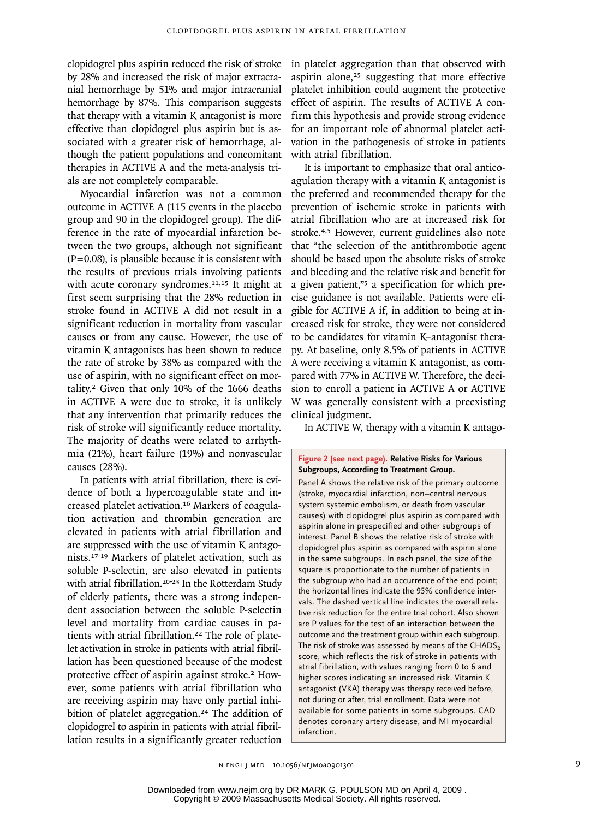clopidogrel plus aspirin reduced the risk of stroke by 28% and increased the risk of major extracranial hemorrhage by 51% and major intracranial hemorrhage by 87%. This comparison suggests that therapy with a vitamin K antagonist is more effective than clopidogrel plus aspirin but is associated with a greater risk of hemorrhage, although the patient populations and concomitant therapies in ACTIVE A and the meta-analysis trials are not completely comparable.

Myocardial infarction was not a common outcome in ACTIVE A (115 events in the placebo group and 90 in the clopidogrel group). The difference in the rate of myocardial infarction between the two groups, although not significant  $(P=0.08)$ , is plausible because it is consistent with the results of previous trials involving patients with acute coronary syndromes.<sup>11,15</sup> It might at first seem surprising that the 28% reduction in stroke found in ACTIVE A did not result in a significant reduction in mortality from vascular causes or from any cause. However, the use of vitamin K antagonists has been shown to reduce the rate of stroke by 38% as compared with the use of aspirin, with no significant effect on mortality.2 Given that only 10% of the 1666 deaths in ACTIVE A were due to stroke, it is unlikely that any intervention that primarily reduces the risk of stroke will significantly reduce mortality. The majority of deaths were related to arrhythmia (21%), heart failure (19%) and nonvascular causes (28%).

In patients with atrial fibrillation, there is evidence of both a hypercoagulable state and increased platelet activation.16 Markers of coagulation activation and thrombin generation are elevated in patients with atrial fibrillation and are suppressed with the use of vitamin K antagonists.17-19 Markers of platelet activation, such as soluble P-selectin, are also elevated in patients with atrial fibrillation.<sup>20-23</sup> In the Rotterdam Study of elderly patients, there was a strong independent association between the soluble P-selectin level and mortality from cardiac causes in patients with atrial fibrillation.22 The role of platelet activation in stroke in patients with atrial fibrillation has been questioned because of the modest protective effect of aspirin against stroke.2 However, some patients with atrial fibrillation who are receiving aspirin may have only partial inhibition of platelet aggregation.<sup>24</sup> The addition of clopidogrel to aspirin in patients with atrial fibrillation results in a significantly greater reduction

in platelet aggregation than that observed with aspirin alone,<sup>25</sup> suggesting that more effective platelet inhibition could augment the protective effect of aspirin. The results of ACTIVE A confirm this hypothesis and provide strong evidence for an important role of abnormal platelet activation in the pathogenesis of stroke in patients with atrial fibrillation.

It is important to emphasize that oral anticoagulation therapy with a vitamin K antagonist is the preferred and recommended therapy for the prevention of ischemic stroke in patients with atrial fibrillation who are at increased risk for stroke.4,5 However, current guidelines also note that "the selection of the antithrombotic agent should be based upon the absolute risks of stroke and bleeding and the relative risk and benefit for a given patient,"5 a specification for which precise guidance is not available. Patients were eligible for ACTIVE A if, in addition to being at increased risk for stroke, they were not considered to be candidates for vitamin K–antagonist therapy. At baseline, only 8.5% of patients in ACTIVE A were receiving a vitamin K antagonist, as compared with 77% in ACTIVE W. Therefore, the decision to enroll a patient in ACTIVE A or ACTIVE W was generally consistent with a preexisting clinical judgment.

In ACTIVE W, therapy with a vitamin K antago-

#### **Figure 2 (see next page). Relative Risks for Various Subgroups, According to Treatment Group.**

Panel A shows the relative risk of the primary outcome (stroke, myocardial infarction, non–central nervous system systemic embolism, or death from vascular causes) with clopidogrel plus aspirin as compared with aspirin alone in prespecified and other subgroups of interest. Panel B shows the relative risk of stroke with clopidogrel plus aspirin as compared with aspirin alone in the same subgroups. In each panel, the size of the square is proportionate to the number of patients in the subgroup who had an occurrence of the end point; the horizontal lines indicate the 95% confidence intervals. The dashed vertical line indicates the overall relative risk reduction for the entire trial cohort. Also shown are P values for the test of an interaction between the outcome and the treatment group within each subgroup. The risk of stroke was assessed by means of the CHADS<sub>2</sub> score, which reflects the risk of stroke in patients with atrial fibrillation, with values ranging from 0 to 6 and higher scores indicating an increased risk. Vitamin K antagonist (VKA) therapy was therapy received before, not during or after, trial enrollment. Data were not available for some patients in some subgroups. CAD denotes coronary artery disease, and MI myocardial infarction.

n engl j med 10.1056/nejmoa0901301 9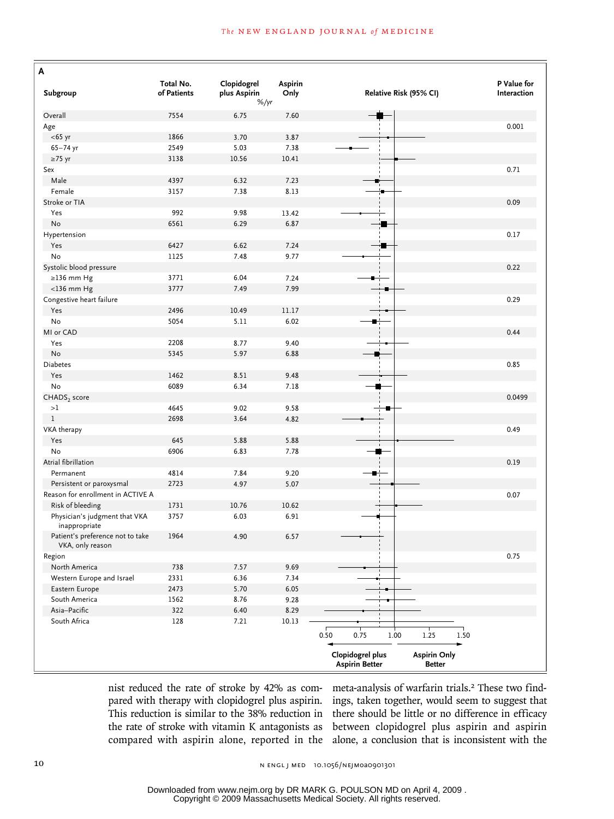#### **The NEW ENGLAND JOURNAL of MEDICINE**

| Total No.<br>Clopidogrel<br>Aspirin<br>P Value for<br>Subgroup<br>of Patients<br>Only<br>Relative Risk (95% CI)<br>Interaction<br>plus Aspirin<br>$\frac{9}{7}$<br>Overall<br>7554<br>6.75<br>7.60<br>0.001<br>Age<br>1866<br>3.70<br>3.87<br>$<$ 65 yr<br>2549<br>5.03<br>7.38<br>$65 - 74$ yr<br>3138<br>10.56<br>$\geq$ 75 yr<br>10.41<br>0.71<br>Sex<br>Male<br>4397<br>6.32<br>7.23<br>Female<br>3157<br>7.38<br>8.13<br>0.09<br>Stroke or TIA<br>992<br>13.42<br>Yes<br>9.98<br>No<br>6561<br>6.29<br>6.87<br>0.17<br>Hypertension<br>6427<br>Yes<br>6.62<br>7.24<br>No<br>1125<br>7.48<br>9.77<br>0.22<br>Systolic blood pressure<br>$\geq$ 136 mm Hg<br>3771<br>6.04<br>7.24<br>$<$ 136 mm Hg<br>3777<br>7.49<br>7.99<br>Congestive heart failure<br>0.29<br>Yes<br>2496<br>10.49<br>11.17<br>5.11<br>No<br>5054<br>6.02<br>0.44<br>MI or CAD<br>Yes<br>2208<br>8.77<br>9.40<br>5345<br>5.97<br>No<br>6.88<br>0.85<br><b>Diabetes</b><br>Yes<br>1462<br>8.51<br>9.48<br>6089<br>6.34<br>7.18<br>No<br>0.0499<br>CHADS <sub>2</sub> score<br>4645<br>9.02<br>9.58<br>>1<br>$\,1$<br>2698<br>3.64<br>4.82<br>0.49<br>VKA therapy<br>Yes<br>645<br>5.88<br>5.88<br>No<br>6906<br>6.83<br>7.78<br>Atrial fibrillation<br>0.19<br>Permanent<br>4814<br>7.84<br>9.20<br>Persistent or paroxysmal<br>2723<br>4.97<br>5.07<br>Reason for enrollment in ACTIVE A<br>0.07<br>10.62<br>Risk of bleeding<br>1731<br>10.76<br>Physician's judgment that VKA<br>3757<br>6.03<br>6.91<br>inappropriate<br>Patient's preference not to take<br>1964<br>4.90<br>6.57<br>VKA, only reason<br>Region<br>0.75<br>North America<br>738<br>7.57<br>9.69<br>Western Europe and Israel<br>2331<br>6.36<br>7.34<br>5.70<br>Eastern Europe<br>2473<br>6.05<br>South America<br>1562<br>8.76<br>9.28<br>Asia-Pacific<br>322<br>6.40<br>8.29<br>7.21<br>South Africa<br>128<br>10.13<br>0.50<br>0.75<br>$1.00\,$<br>1.25<br>1.50<br>Clopidogrel plus<br><b>Aspirin Only</b><br><b>Aspirin Better</b><br><b>Better</b> | A |  |  |  |
|---------------------------------------------------------------------------------------------------------------------------------------------------------------------------------------------------------------------------------------------------------------------------------------------------------------------------------------------------------------------------------------------------------------------------------------------------------------------------------------------------------------------------------------------------------------------------------------------------------------------------------------------------------------------------------------------------------------------------------------------------------------------------------------------------------------------------------------------------------------------------------------------------------------------------------------------------------------------------------------------------------------------------------------------------------------------------------------------------------------------------------------------------------------------------------------------------------------------------------------------------------------------------------------------------------------------------------------------------------------------------------------------------------------------------------------------------------------------------------------------------------------------------------------------------------------------------------------------------------------------------------------------------------------------------------------------------------------------------------------------------------------------------------------------------------------------------------------------------------------------------------------------------------------------------------------------------------------------------------------------------|---|--|--|--|
|                                                                                                                                                                                                                                                                                                                                                                                                                                                                                                                                                                                                                                                                                                                                                                                                                                                                                                                                                                                                                                                                                                                                                                                                                                                                                                                                                                                                                                                                                                                                                                                                                                                                                                                                                                                                                                                                                                                                                                                                   |   |  |  |  |
|                                                                                                                                                                                                                                                                                                                                                                                                                                                                                                                                                                                                                                                                                                                                                                                                                                                                                                                                                                                                                                                                                                                                                                                                                                                                                                                                                                                                                                                                                                                                                                                                                                                                                                                                                                                                                                                                                                                                                                                                   |   |  |  |  |
|                                                                                                                                                                                                                                                                                                                                                                                                                                                                                                                                                                                                                                                                                                                                                                                                                                                                                                                                                                                                                                                                                                                                                                                                                                                                                                                                                                                                                                                                                                                                                                                                                                                                                                                                                                                                                                                                                                                                                                                                   |   |  |  |  |
|                                                                                                                                                                                                                                                                                                                                                                                                                                                                                                                                                                                                                                                                                                                                                                                                                                                                                                                                                                                                                                                                                                                                                                                                                                                                                                                                                                                                                                                                                                                                                                                                                                                                                                                                                                                                                                                                                                                                                                                                   |   |  |  |  |
|                                                                                                                                                                                                                                                                                                                                                                                                                                                                                                                                                                                                                                                                                                                                                                                                                                                                                                                                                                                                                                                                                                                                                                                                                                                                                                                                                                                                                                                                                                                                                                                                                                                                                                                                                                                                                                                                                                                                                                                                   |   |  |  |  |
|                                                                                                                                                                                                                                                                                                                                                                                                                                                                                                                                                                                                                                                                                                                                                                                                                                                                                                                                                                                                                                                                                                                                                                                                                                                                                                                                                                                                                                                                                                                                                                                                                                                                                                                                                                                                                                                                                                                                                                                                   |   |  |  |  |
|                                                                                                                                                                                                                                                                                                                                                                                                                                                                                                                                                                                                                                                                                                                                                                                                                                                                                                                                                                                                                                                                                                                                                                                                                                                                                                                                                                                                                                                                                                                                                                                                                                                                                                                                                                                                                                                                                                                                                                                                   |   |  |  |  |
|                                                                                                                                                                                                                                                                                                                                                                                                                                                                                                                                                                                                                                                                                                                                                                                                                                                                                                                                                                                                                                                                                                                                                                                                                                                                                                                                                                                                                                                                                                                                                                                                                                                                                                                                                                                                                                                                                                                                                                                                   |   |  |  |  |
|                                                                                                                                                                                                                                                                                                                                                                                                                                                                                                                                                                                                                                                                                                                                                                                                                                                                                                                                                                                                                                                                                                                                                                                                                                                                                                                                                                                                                                                                                                                                                                                                                                                                                                                                                                                                                                                                                                                                                                                                   |   |  |  |  |
|                                                                                                                                                                                                                                                                                                                                                                                                                                                                                                                                                                                                                                                                                                                                                                                                                                                                                                                                                                                                                                                                                                                                                                                                                                                                                                                                                                                                                                                                                                                                                                                                                                                                                                                                                                                                                                                                                                                                                                                                   |   |  |  |  |
|                                                                                                                                                                                                                                                                                                                                                                                                                                                                                                                                                                                                                                                                                                                                                                                                                                                                                                                                                                                                                                                                                                                                                                                                                                                                                                                                                                                                                                                                                                                                                                                                                                                                                                                                                                                                                                                                                                                                                                                                   |   |  |  |  |
|                                                                                                                                                                                                                                                                                                                                                                                                                                                                                                                                                                                                                                                                                                                                                                                                                                                                                                                                                                                                                                                                                                                                                                                                                                                                                                                                                                                                                                                                                                                                                                                                                                                                                                                                                                                                                                                                                                                                                                                                   |   |  |  |  |
|                                                                                                                                                                                                                                                                                                                                                                                                                                                                                                                                                                                                                                                                                                                                                                                                                                                                                                                                                                                                                                                                                                                                                                                                                                                                                                                                                                                                                                                                                                                                                                                                                                                                                                                                                                                                                                                                                                                                                                                                   |   |  |  |  |
|                                                                                                                                                                                                                                                                                                                                                                                                                                                                                                                                                                                                                                                                                                                                                                                                                                                                                                                                                                                                                                                                                                                                                                                                                                                                                                                                                                                                                                                                                                                                                                                                                                                                                                                                                                                                                                                                                                                                                                                                   |   |  |  |  |
|                                                                                                                                                                                                                                                                                                                                                                                                                                                                                                                                                                                                                                                                                                                                                                                                                                                                                                                                                                                                                                                                                                                                                                                                                                                                                                                                                                                                                                                                                                                                                                                                                                                                                                                                                                                                                                                                                                                                                                                                   |   |  |  |  |
|                                                                                                                                                                                                                                                                                                                                                                                                                                                                                                                                                                                                                                                                                                                                                                                                                                                                                                                                                                                                                                                                                                                                                                                                                                                                                                                                                                                                                                                                                                                                                                                                                                                                                                                                                                                                                                                                                                                                                                                                   |   |  |  |  |
|                                                                                                                                                                                                                                                                                                                                                                                                                                                                                                                                                                                                                                                                                                                                                                                                                                                                                                                                                                                                                                                                                                                                                                                                                                                                                                                                                                                                                                                                                                                                                                                                                                                                                                                                                                                                                                                                                                                                                                                                   |   |  |  |  |
|                                                                                                                                                                                                                                                                                                                                                                                                                                                                                                                                                                                                                                                                                                                                                                                                                                                                                                                                                                                                                                                                                                                                                                                                                                                                                                                                                                                                                                                                                                                                                                                                                                                                                                                                                                                                                                                                                                                                                                                                   |   |  |  |  |
|                                                                                                                                                                                                                                                                                                                                                                                                                                                                                                                                                                                                                                                                                                                                                                                                                                                                                                                                                                                                                                                                                                                                                                                                                                                                                                                                                                                                                                                                                                                                                                                                                                                                                                                                                                                                                                                                                                                                                                                                   |   |  |  |  |
|                                                                                                                                                                                                                                                                                                                                                                                                                                                                                                                                                                                                                                                                                                                                                                                                                                                                                                                                                                                                                                                                                                                                                                                                                                                                                                                                                                                                                                                                                                                                                                                                                                                                                                                                                                                                                                                                                                                                                                                                   |   |  |  |  |
|                                                                                                                                                                                                                                                                                                                                                                                                                                                                                                                                                                                                                                                                                                                                                                                                                                                                                                                                                                                                                                                                                                                                                                                                                                                                                                                                                                                                                                                                                                                                                                                                                                                                                                                                                                                                                                                                                                                                                                                                   |   |  |  |  |
|                                                                                                                                                                                                                                                                                                                                                                                                                                                                                                                                                                                                                                                                                                                                                                                                                                                                                                                                                                                                                                                                                                                                                                                                                                                                                                                                                                                                                                                                                                                                                                                                                                                                                                                                                                                                                                                                                                                                                                                                   |   |  |  |  |
|                                                                                                                                                                                                                                                                                                                                                                                                                                                                                                                                                                                                                                                                                                                                                                                                                                                                                                                                                                                                                                                                                                                                                                                                                                                                                                                                                                                                                                                                                                                                                                                                                                                                                                                                                                                                                                                                                                                                                                                                   |   |  |  |  |
|                                                                                                                                                                                                                                                                                                                                                                                                                                                                                                                                                                                                                                                                                                                                                                                                                                                                                                                                                                                                                                                                                                                                                                                                                                                                                                                                                                                                                                                                                                                                                                                                                                                                                                                                                                                                                                                                                                                                                                                                   |   |  |  |  |
|                                                                                                                                                                                                                                                                                                                                                                                                                                                                                                                                                                                                                                                                                                                                                                                                                                                                                                                                                                                                                                                                                                                                                                                                                                                                                                                                                                                                                                                                                                                                                                                                                                                                                                                                                                                                                                                                                                                                                                                                   |   |  |  |  |
|                                                                                                                                                                                                                                                                                                                                                                                                                                                                                                                                                                                                                                                                                                                                                                                                                                                                                                                                                                                                                                                                                                                                                                                                                                                                                                                                                                                                                                                                                                                                                                                                                                                                                                                                                                                                                                                                                                                                                                                                   |   |  |  |  |
|                                                                                                                                                                                                                                                                                                                                                                                                                                                                                                                                                                                                                                                                                                                                                                                                                                                                                                                                                                                                                                                                                                                                                                                                                                                                                                                                                                                                                                                                                                                                                                                                                                                                                                                                                                                                                                                                                                                                                                                                   |   |  |  |  |
|                                                                                                                                                                                                                                                                                                                                                                                                                                                                                                                                                                                                                                                                                                                                                                                                                                                                                                                                                                                                                                                                                                                                                                                                                                                                                                                                                                                                                                                                                                                                                                                                                                                                                                                                                                                                                                                                                                                                                                                                   |   |  |  |  |
|                                                                                                                                                                                                                                                                                                                                                                                                                                                                                                                                                                                                                                                                                                                                                                                                                                                                                                                                                                                                                                                                                                                                                                                                                                                                                                                                                                                                                                                                                                                                                                                                                                                                                                                                                                                                                                                                                                                                                                                                   |   |  |  |  |
|                                                                                                                                                                                                                                                                                                                                                                                                                                                                                                                                                                                                                                                                                                                                                                                                                                                                                                                                                                                                                                                                                                                                                                                                                                                                                                                                                                                                                                                                                                                                                                                                                                                                                                                                                                                                                                                                                                                                                                                                   |   |  |  |  |
|                                                                                                                                                                                                                                                                                                                                                                                                                                                                                                                                                                                                                                                                                                                                                                                                                                                                                                                                                                                                                                                                                                                                                                                                                                                                                                                                                                                                                                                                                                                                                                                                                                                                                                                                                                                                                                                                                                                                                                                                   |   |  |  |  |
|                                                                                                                                                                                                                                                                                                                                                                                                                                                                                                                                                                                                                                                                                                                                                                                                                                                                                                                                                                                                                                                                                                                                                                                                                                                                                                                                                                                                                                                                                                                                                                                                                                                                                                                                                                                                                                                                                                                                                                                                   |   |  |  |  |
|                                                                                                                                                                                                                                                                                                                                                                                                                                                                                                                                                                                                                                                                                                                                                                                                                                                                                                                                                                                                                                                                                                                                                                                                                                                                                                                                                                                                                                                                                                                                                                                                                                                                                                                                                                                                                                                                                                                                                                                                   |   |  |  |  |
|                                                                                                                                                                                                                                                                                                                                                                                                                                                                                                                                                                                                                                                                                                                                                                                                                                                                                                                                                                                                                                                                                                                                                                                                                                                                                                                                                                                                                                                                                                                                                                                                                                                                                                                                                                                                                                                                                                                                                                                                   |   |  |  |  |
|                                                                                                                                                                                                                                                                                                                                                                                                                                                                                                                                                                                                                                                                                                                                                                                                                                                                                                                                                                                                                                                                                                                                                                                                                                                                                                                                                                                                                                                                                                                                                                                                                                                                                                                                                                                                                                                                                                                                                                                                   |   |  |  |  |
|                                                                                                                                                                                                                                                                                                                                                                                                                                                                                                                                                                                                                                                                                                                                                                                                                                                                                                                                                                                                                                                                                                                                                                                                                                                                                                                                                                                                                                                                                                                                                                                                                                                                                                                                                                                                                                                                                                                                                                                                   |   |  |  |  |
|                                                                                                                                                                                                                                                                                                                                                                                                                                                                                                                                                                                                                                                                                                                                                                                                                                                                                                                                                                                                                                                                                                                                                                                                                                                                                                                                                                                                                                                                                                                                                                                                                                                                                                                                                                                                                                                                                                                                                                                                   |   |  |  |  |
|                                                                                                                                                                                                                                                                                                                                                                                                                                                                                                                                                                                                                                                                                                                                                                                                                                                                                                                                                                                                                                                                                                                                                                                                                                                                                                                                                                                                                                                                                                                                                                                                                                                                                                                                                                                                                                                                                                                                                                                                   |   |  |  |  |
|                                                                                                                                                                                                                                                                                                                                                                                                                                                                                                                                                                                                                                                                                                                                                                                                                                                                                                                                                                                                                                                                                                                                                                                                                                                                                                                                                                                                                                                                                                                                                                                                                                                                                                                                                                                                                                                                                                                                                                                                   |   |  |  |  |
|                                                                                                                                                                                                                                                                                                                                                                                                                                                                                                                                                                                                                                                                                                                                                                                                                                                                                                                                                                                                                                                                                                                                                                                                                                                                                                                                                                                                                                                                                                                                                                                                                                                                                                                                                                                                                                                                                                                                                                                                   |   |  |  |  |
|                                                                                                                                                                                                                                                                                                                                                                                                                                                                                                                                                                                                                                                                                                                                                                                                                                                                                                                                                                                                                                                                                                                                                                                                                                                                                                                                                                                                                                                                                                                                                                                                                                                                                                                                                                                                                                                                                                                                                                                                   |   |  |  |  |
|                                                                                                                                                                                                                                                                                                                                                                                                                                                                                                                                                                                                                                                                                                                                                                                                                                                                                                                                                                                                                                                                                                                                                                                                                                                                                                                                                                                                                                                                                                                                                                                                                                                                                                                                                                                                                                                                                                                                                                                                   |   |  |  |  |
|                                                                                                                                                                                                                                                                                                                                                                                                                                                                                                                                                                                                                                                                                                                                                                                                                                                                                                                                                                                                                                                                                                                                                                                                                                                                                                                                                                                                                                                                                                                                                                                                                                                                                                                                                                                                                                                                                                                                                                                                   |   |  |  |  |
|                                                                                                                                                                                                                                                                                                                                                                                                                                                                                                                                                                                                                                                                                                                                                                                                                                                                                                                                                                                                                                                                                                                                                                                                                                                                                                                                                                                                                                                                                                                                                                                                                                                                                                                                                                                                                                                                                                                                                                                                   |   |  |  |  |
|                                                                                                                                                                                                                                                                                                                                                                                                                                                                                                                                                                                                                                                                                                                                                                                                                                                                                                                                                                                                                                                                                                                                                                                                                                                                                                                                                                                                                                                                                                                                                                                                                                                                                                                                                                                                                                                                                                                                                                                                   |   |  |  |  |
|                                                                                                                                                                                                                                                                                                                                                                                                                                                                                                                                                                                                                                                                                                                                                                                                                                                                                                                                                                                                                                                                                                                                                                                                                                                                                                                                                                                                                                                                                                                                                                                                                                                                                                                                                                                                                                                                                                                                                                                                   |   |  |  |  |
|                                                                                                                                                                                                                                                                                                                                                                                                                                                                                                                                                                                                                                                                                                                                                                                                                                                                                                                                                                                                                                                                                                                                                                                                                                                                                                                                                                                                                                                                                                                                                                                                                                                                                                                                                                                                                                                                                                                                                                                                   |   |  |  |  |
|                                                                                                                                                                                                                                                                                                                                                                                                                                                                                                                                                                                                                                                                                                                                                                                                                                                                                                                                                                                                                                                                                                                                                                                                                                                                                                                                                                                                                                                                                                                                                                                                                                                                                                                                                                                                                                                                                                                                                                                                   |   |  |  |  |
|                                                                                                                                                                                                                                                                                                                                                                                                                                                                                                                                                                                                                                                                                                                                                                                                                                                                                                                                                                                                                                                                                                                                                                                                                                                                                                                                                                                                                                                                                                                                                                                                                                                                                                                                                                                                                                                                                                                                                                                                   |   |  |  |  |

nist reduced the rate of stroke by 42% as compared with therapy with clopidogrel plus aspirin. This reduction is similar to the 38% reduction in the rate of stroke with vitamin K antagonists as  $\mathbb{R}$ 

compared with aspirin alone, reported in the alone, a conclusion that is inconsistent with the meta-analysis of warfarin trials.2 These two findings, taken together, would seem to suggest that there should be little or no difference in efficacy between clopidogrel plus aspirin and aspirin

Downloaded from www.nejm.org by DR MARK G. POULSON MD on April 4, 2009. Copyright © 2009 Massachusetts Medical Society. All rights reserved.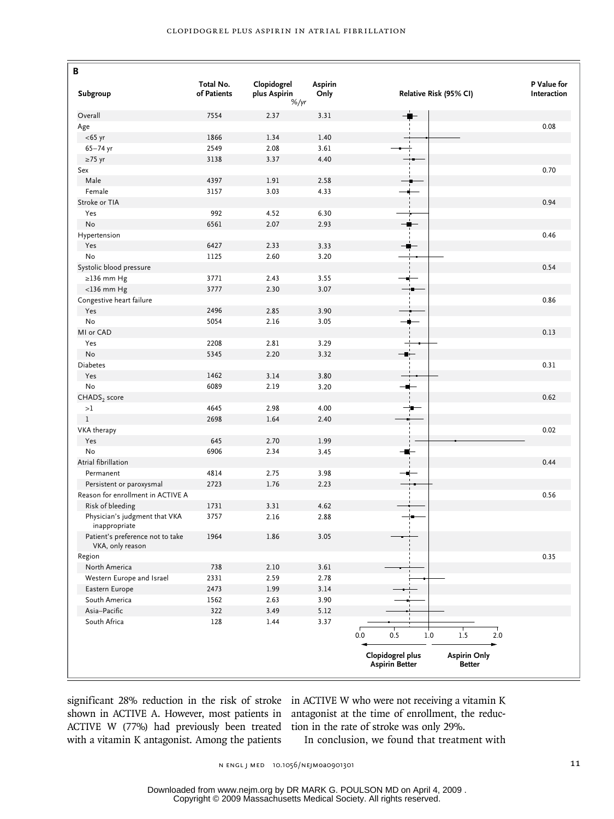| B                                 |             |               |         |                                           |
|-----------------------------------|-------------|---------------|---------|-------------------------------------------|
|                                   | Total No.   | Clopidogrel   | Aspirin | P Value for                               |
| Subgroup                          | of Patients | plus Aspirin  | Only    | Relative Risk (95% CI)<br>Interaction     |
|                                   |             | $\frac{9}{7}$ |         |                                           |
| Overall                           | 7554        | 2.37          | 3.31    | 0.08                                      |
| Age<br>$<$ 65 yr                  | 1866        | 1.34          | 1.40    |                                           |
| 65-74 yr                          | 2549        | 2.08          | 3.61    |                                           |
| $\geq$ 75 yr                      | 3138        | 3.37          | 4.40    |                                           |
| Sex                               |             |               |         | 0.70                                      |
| Male                              | 4397        | 1.91          | 2.58    |                                           |
| Female                            | 3157        | 3.03          | 4.33    |                                           |
| Stroke or TIA                     |             |               |         | 0.94                                      |
| Yes                               | 992         | 4.52          | 6.30    |                                           |
| No                                | 6561        | 2.07          | 2.93    |                                           |
| Hypertension                      |             |               |         | 0.46                                      |
| Yes                               | 6427        | 2.33          | 3.33    |                                           |
| No                                | 1125        | 2.60          | 3.20    |                                           |
| Systolic blood pressure           |             |               |         | 0.54                                      |
| $\geq$ 136 mm Hg                  | 3771        | 2.43          | 3.55    |                                           |
| $<$ 136 mm Hg                     | 3777        | 2.30          | 3.07    |                                           |
| Congestive heart failure          |             |               |         | 0.86                                      |
| Yes                               | 2496        | 2.85          | 3.90    |                                           |
| No                                | 5054        | 2.16          | 3.05    |                                           |
| MI or CAD                         |             |               |         | 0.13                                      |
| Yes                               | 2208        | 2.81          | 3.29    |                                           |
| No                                | 5345        | 2.20          | 3.32    | - 9                                       |
| <b>Diabetes</b>                   |             |               |         | 0.31                                      |
| Yes                               | 1462        | 3.14          | 3.80    |                                           |
| No                                | 6089        | 2.19          | 3.20    |                                           |
| CHADS <sub>2</sub> score          |             |               |         | 0.62                                      |
| >1                                | 4645        | 2.98          | 4.00    |                                           |
| $\,1$                             | 2698        | 1.64          | 2.40    | 0.02                                      |
| VKA therapy<br>Yes                | 645         | 2.70          | 1.99    |                                           |
| No                                | 6906        | 2.34          | 3.45    |                                           |
| Atrial fibrillation               |             |               |         | 0.44                                      |
| Permanent                         | 4814        | 2.75          | 3.98    |                                           |
| Persistent or paroxysmal          | 2723        | 1.76          | 2.23    |                                           |
| Reason for enrollment in ACTIVE A |             |               |         | 0.56                                      |
| Risk of bleeding                  | 1731        | 3.31          | 4.62    |                                           |
| Physician's judgment that VKA     | 3757        | 2.16          | 2.88    |                                           |
| inappropriate                     |             |               |         |                                           |
| Patient's preference not to take  | 1964        | 1.86          | 3.05    |                                           |
| VKA, only reason                  |             |               |         |                                           |
| Region                            |             |               |         | 0.35                                      |
| North America                     | 738         | 2.10          | 3.61    |                                           |
| Western Europe and Israel         | 2331        | 2.59          | 2.78    |                                           |
| Eastern Europe                    | 2473        | 1.99          | 3.14    |                                           |
| South America                     | 1562        | 2.63          | 3.90    |                                           |
| Asia-Pacific                      | 322         | 3.49          | 5.12    |                                           |
| South Africa                      | 128         | 1.44          | 3.37    |                                           |
|                                   |             |               |         | 0.5<br>$1.5\,$<br>$2.0$<br>0.0<br>$1.0\,$ |
|                                   |             |               |         | Clopidogrel plus<br><b>Aspirin Only</b>   |
|                                   |             |               |         | <b>Aspirin Better</b><br><b>Better</b>    |
|                                   |             |               |         |                                           |

significant 28% reduction in the risk of stroke in ACTIVE W who were not receiving a vitamin K shown in ACTIVE A. However, most patients in antagonist at the time of enrollment, the reduc-ACTIVE W (77%) had previously been treated tion in the rate of stroke was only 29%. with a vitamin K antagonist. Among the patients In conc

on treated tion in the rate of stroke was

In conclusion, we found that treatment with

ال 11<br>H ENGL j MED 10.1056/NEJMoa0901301 **AUTHOR, PLEASE NOTE:**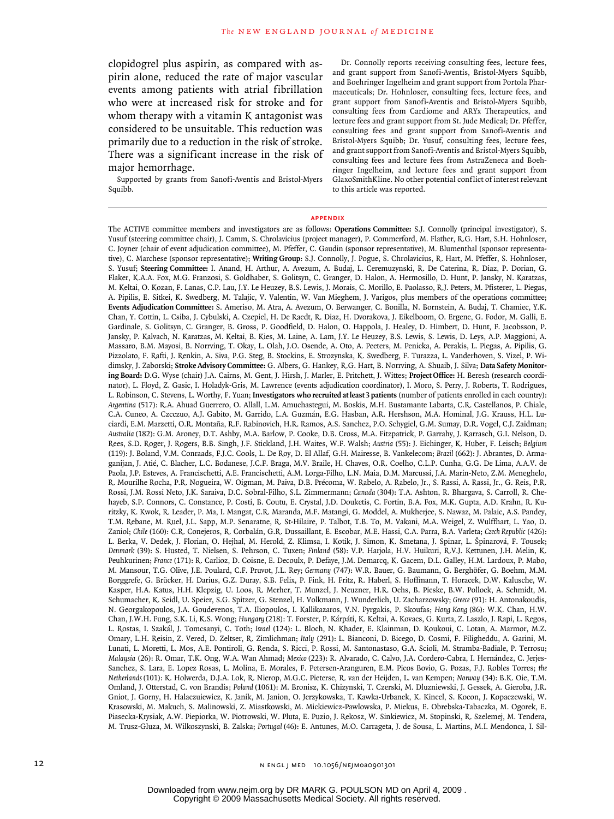clopidogrel plus aspirin, as compared with aspirin alone, reduced the rate of major vascular events among patients with atrial fibrillation who were at increased risk for stroke and for whom therapy with a vitamin K antagonist was considered to be unsuitable. This reduction was primarily due to a reduction in the risk of stroke. There was a significant increase in the risk of major hemorrhage.

Supported by grants from Sanofi-Aventis and Bristol-Myers Squibb.

Dr. Connolly reports receiving consulting fees, lecture fees, and grant support from Sanofi-Aventis, Bristol-Myers Squibb, and Boehringer Ingelheim and grant support from Portola Pharmaceuticals; Dr. Hohnloser, consulting fees, lecture fees, and grant support from Sanofi-Aventis and Bristol-Myers Squibb, consulting fees from Cardiome and ARYx Therapeutics, and lecture fees and grant support from St. Jude Medical; Dr. Pfeffer, consulting fees and grant support from Sanofi-Aventis and Bristol-Myers Squibb; Dr. Yusuf, consulting fees, lecture fees, and grant support from Sanofi-Aventis and Bristol-Myers Squibb, consulting fees and lecture fees from AstraZeneca and Boehringer Ingelheim, and lecture fees and grant support from GlaxoSmithKline. No other potential conflict of interest relevant to this article was reported.

#### **Appendix**

The ACTIVE committee members and investigators are as follows: **Operations Committee:** S.J. Connolly (principal investigator), S. Yusuf (steering committee chair), J. Camm, S. Chrolavicius (project manager), P. Commerford, M. Flather, R.G. Hart, S.H. Hohnloser, C. Joyner (chair of event adjudication committee), M. Pfeffer, C. Gaudin (sponsor representative), M. Blumenthal (sponsor representative), C. Marchese (sponsor representative); **Writing Group**: S.J. Connolly, J. Pogue, S. Chrolavicius, R. Hart, M. Pfeffer, S. Hohnloser, S. Yusuf; **Steering Committee:** I. Anand, H. Arthur, A. Avezum, A. Budaj, L. Ceremuzynski, R. De Caterina, R. Diaz, P. Dorian, G. Flaker, K.A.A. Fox, M.G. Franzosi, S. Goldhaber, S. Golitsyn, C. Granger, D. Halon, A. Hermosillo, D. Hunt, P. Jansky, N. Karatzas, M. Keltai, O. Kozan, F. Lanas, C.P. Lau, J.Y. Le Heuzey, B.S. Lewis, J. Morais, C. Morillo, E. Paolasso, R.J. Peters, M. Pfisterer, L. Piegas, A. Pipilis, E. Sitkei, K. Swedberg, M. Talajic, V. Valentin, W. Van Mieghem, J. Varigos, plus members of the operations committee; **Events Adjudication Committee:** S. Ameriso, M. Atra, A. Avezum, O. Berwanger, C. Bonilla, N. Bornstein, A. Budaj, T. Chamiec, Y.K. Chan, Y. Cottin, L. Csiba, J. Cybulski, A. Czepiel, H. De Raedt, R. Diaz, H. Dvorakova, J. Eikelboom, O. Ergene, G. Fodor, M. Galli, E. Gardinale, S. Golitsyn, C. Granger, B. Gross, P. Goodfield, D. Halon, O. Happola, J. Healey, D. Himbert, D. Hunt, F. Jacobsson, P. Jansky, P. Kalvach, N. Karatzas, M. Keltai, B. Kies, M. Laine, A. Lam, J.Y. Le Heuzey, B.S. Lewis, S. Lewis, D. Leys, A.P. Maggioni, A. Massaro, B.M. Mayosi, B. Norrving, T. Okay, L. Olah, J.O. Osende, A. Oto, A. Peeters, M. Penicka, A. Perakis, L. Piegas, A. Pipilis, G. Pizzolato, F. Rafti, J. Renkin, A. Siva, P.G. Steg, B. Stockins, E. Strozynska, K. Swedberg, F. Turazza, L. Vanderhoven, S. Vizel, P. Widimsky, J. Zaborski; **Stroke Advisory Committee:** G. Albers, G. Hankey, R.G. Hart, B. Norrving, A. Shuaib, J. Silva; **Data Safety Monitoring Board:** D.G. Wyse (chair) J.A. Cairns, M. Gent, J. Hirsh, J. Marler, E. Pritchett, J. Wittes; **Project Office:** H. Beresh (research coordinator), L. Floyd, Z. Gasic, I. Holadyk-Gris, M. Lawrence (events adjudication coordinator), I. Moro, S. Perry, J. Roberts, T. Rodrigues, L. Robinson, C. Stevens, L. Worthy, F. Yuan; **Investigators who recruited at least 3 patients** (number of patients enrolled in each country): *Argentina* (517): R.A. Ahuad Guerrero, O. Allall, L.M. Amuchastegui, M. Boskis, M.H. Bustamante Labarta, C.R. Castellanos, P. Chiale, C.A. Cuneo, A. Czcczuo, A.J. Gabito, M. Garrido, L.A. Guzmán, E.G. Hasban, A.R. Hershson, M.A. Hominal, J.G. Krauss, H.L. Luciardi, E.M. Marzetti, O.R. Montaña, R.F. Rabinovich, H.R. Ramos, A.S. Sanchez, P.O. Schygiel, G.M. Sumay, D.R. Vogel, C.J. Zaidman; *Australia* (182): G.M. Aroney, D.T. Ashby, M.A. Barlow, P. Cooke, D.B. Cross, M.A. Fitzpatrick, P. Garrahy, J. Karrasch, G.I. Nelson, D. Rees, S.D. Roger, J. Rogers, B.B. Singh, J.F. Stickland, J.H. Waites, W.F. Walsh; *Austria* (55): J. Eichinger, K. Huber, F. Leisch; *Belgium* (119): J. Boland, V.M. Conraads, F.J.C. Cools, L. De Roy, D. El Allaf, G.H. Mairesse, B. Vankelecom; *Brazil* (662): J. Abrantes, D. Armaganijan, J. Atié, C. Blacher, L.C. Bodanese, J.C.F. Braga, M.V. Braile, H. Chaves, O.R. Coelho, C.L.P. Cunha, G.G. De Lima, A.A.V. de Paola, J.P. Esteves, A. Francischetti, A.E. Francischetti, A.M. Lorga-Filho, L.N. Maia, D.M. Marcussi, J.A. Marin-Neto, Z.M. Meneghelo, R. Mourilhe Rocha, P.R. Nogueira, W. Oigman, M. Paiva, D.B. Précoma, W. Rabelo, A. Rabelo, Jr., S. Rassi, A. Rassi, Jr., G. Reis, P.R. Rossi, J.M. Rossi Neto, J.K. Saraiva, D.C. Sobral-Filho, S.L. Zimmermann; *Canada* (304): T.A. Ashton, R. Bhargava, S. Carroll, R. Chehayeb, S.P. Connors, C. Constance, P. Costi, B. Coutu, E. Crystal, J.D. Douketis, C. Fortin, B.A. Fox, M.K. Gupta, A.D. Krahn, R. Kuritzky, K. Kwok, R. Leader, P. Ma, I. Mangat, C.R. Maranda, M.F. Matangi, G. Moddel, A. Mukherjee, S. Nawaz, M. Palaic, A.S. Pandey, T.M. Rebane, M. Ruel, J.L. Sapp, M.P. Senaratne, R. St-Hilaire, P. Talbot, T.B. To, M. Vakani, M.A. Weigel, Z. Wulffhart, L. Yao, D. Zaniol; *Chile* (160): C.R. Conejeros, R. Corbalán, G.R. Dussaillant, E. Escobar, M.E. Hassi, C.A. Parra, B.A. Varleta; *Czech Republic* (426): L. Berka, V. Dedek, J. Florian, O. Hejhal, M. Herold, Z. Klimsa, I. Kotik, J. Simon, K. Smetana, J. Spinar, L. Špinarová, F. Tousek; *Denmark* (39): S. Husted, T. Nielsen, S. Pehrson, C. Tuxen; *Finland* (58): V.P. Harjola, H.V. Huikuri, R.V.J. Kettunen, J.H. Melin, K. Peuhkurinen; *France* (171): R. Carlioz, D. Coisne, E. Decoulx, P. Defaye, J.M. Demarcq, K. Gacem, D.L. Galley, H.M. Lardoux, P. Mabo, M. Mansour, T.G. Olive, J.E. Poulard, C.F. Pruvot, J.L. Rey; *Germany* (747): W.R. Bauer, G. Baumann, G. Berghöfer, G. Boehm, M.M. Borggrefe, G. Brücker, H. Darius, G.Z. Duray, S.B. Felix, P. Fink, H. Fritz, R. Haberl, S. Hoffmann, T. Horacek, D.W. Kalusche, W. Kasper, H.A. Katus, H.H. Klepzig, U. Loos, R. Merher, T. Munzel, J. Neuzner, H.R. Ochs, B. Pieske, B.W. Pollock, A. Schmidt, M. Schumacher, K. Seidl, U. Speier, S.G. Spitzer, G. Stenzel, H. Volkmann, J. Wunderlich, U. Zacharzowsky; *Greece* (91): H. Antonakoudis, N. Georgakopoulos, J.A. Goudevenos, T.A. Iliopoulos, I. Kallikazaros, V.N. Pyrgakis, P. Skoufas; *Hong Kong* (86): W.K. Chan, H.W. Chan, J.W.H. Fung, S.K. Li, K.S. Wong; *Hungary* (218): T. Forster, P. Kárpáti, K. Keltai, A. Kovacs, G. Kurta, Z. Laszlo, J. Rapi, L. Regos, L. Rostas, I. Szakál, J. Tomcsanyi, C. Toth; *Israel* (124): L. Bloch, N. Khader, E. Klainman, D. Koukoui, C. Lotan, A. Marmor, M.Z. Omary, L.H. Reisin, Z. Vered, D. Zeltser, R. Zimlichman; *Italy* (291): L. Bianconi, D. Bicego, D. Cosmi, F. Filigheddu, A. Garini, M. Lunati, L. Moretti, L. Mos, A.E. Pontiroli, G. Renda, S. Ricci, P. Rossi, M. Santonastaso, G.A. Scioli, M. Stramba-Badiale, P. Terrosu; *Malaysia* (26): R. Omar, T.K. Ong, W.A. Wan Ahmad; *Mexico* (223): R. Alvarado, C. Calvo, J.A. Cordero-Cabra, I. Hernández, C. Jerjes-Sanchez, S. Lara, E. Lopez Rosas, L. Molina, E. Morales, F. Petersen-Aranguren, E.M. Picos Bovio, G. Pozas, F.J. Robles Torres; *the Netherlands* (101): K. Holwerda, D.J.A. Lok, R. Nierop, M.G.C. Pieterse, R. van der Heijden, L. van Kempen; *Norway* (34): B.K. Oie, T.M. Omland, J. Otterstad, C. von Brandis; *Poland* (1061): M. Bronisz, K. Chizynski, T. Czerski, M. Dluzniewski, J. Gessek, A. Gieroba, J.R. Gniot, J. Gorny, H. Halaczuiewicz, K. Janik, M. Janion, O. Jerzykowska, T. Kawka-Urbanek, K. Kincel, S. Kocon, J. Kopaczewski, W. Krasowski, M. Makuch, S. Malinowski, Z. Miastkowski, M. Mickiewicz-Pawlowska, P. Miekus, E. Obrebska-Tabaczka, M. Ogorek, E. Piasecka-Krysiak, A.W. Piepiorka, W. Piotrowski, W. Pluta, E. Puzio, J. Rekosz, W. Sinkiewicz, M. Stopinski, R. Szelemej, M. Tendera, M. Trusz-Gluza, M. Wilkoszynski, B. Zalska; *Portugal* (46): E. Antunes, M.O. Carrageta, J. de Sousa, L. Martins, M.I. Mendonca, I. Sil-